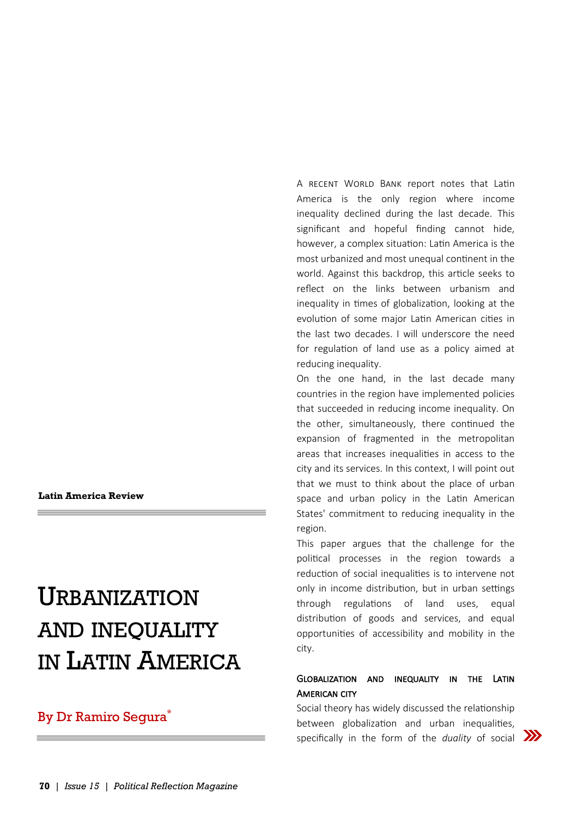**Latin America Review** 

# URBANIZATION AND INEQUALITY IN LATIN AMERICA

## By Dr Ramiro Segura<sup>\*</sup>

A RECENT WORLD BANK report notes that Latin America is the only region where income inequality declined during the last decade. This significant and hopeful finding cannot hide, however, a complex situation: Latin America is the most urbanized and most unequal continent in the world. Against this backdrop, this article seeks to reflect on the links between urbanism and inequality in times of globalization, looking at the evolution of some major Latin American cities in the last two decades. I will underscore the need for regulation of land use as a policy aimed at reducing inequality.

On the one hand, in the last decade many countries in the region have implemented policies that succeeded in reducing income inequality. On the other, simultaneously, there continued the expansion of fragmented in the metropolitan areas that increases inequalities in access to the city and its services. In this context, I will point out that we must to think about the place of urban space and urban policy in the Latin American States' commitment to reducing inequality in the region.

This paper argues that the challenge for the political processes in the region towards a reduction of social inequalities is to intervene not only in income distribution, but in urban settings through regulations of land uses, equal distribution of goods and services, and equal opportunities of accessibility and mobility in the city.

#### Globalization and inequality in the Latin **AMERICAN CITY**

Social theory has widely discussed the relationship between globalization and urban inequalities, specifically in the form of the *duality* of social **XX**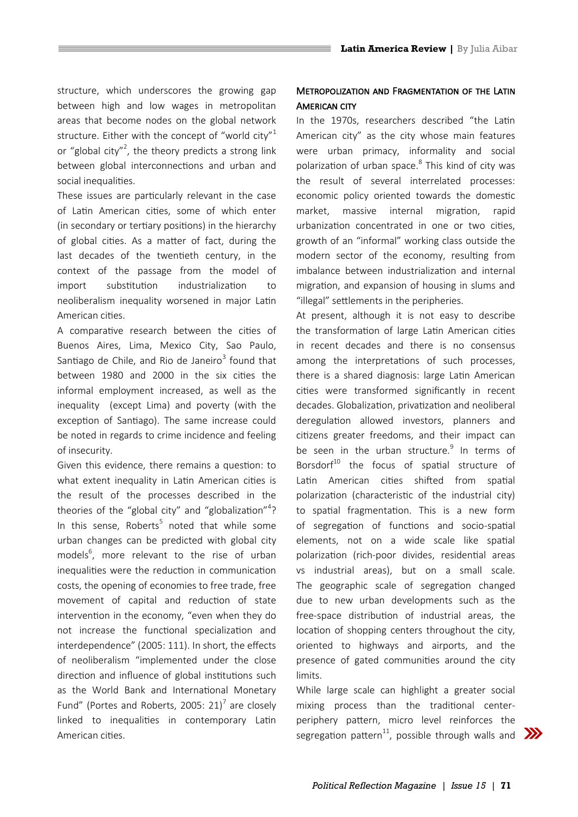structure, which underscores the growing gap between high and low wages in metropolitan areas that become nodes on the global network structure. Either with the concept of "world city"<sup>1</sup> or "global city"<sup>2</sup>, the theory predicts a strong link between global interconnections and urban and social inequalities.

These issues are particularly relevant in the case of Latin American cities, some of which enter (in secondary or tertiary positions) in the hierarchy of global cities. As a matter of fact, during the last decades of the twentieth century, in the context of the passage from the model of import substitution industrialization to neoliberalism inequality worsened in major Latin American cities.

A comparative research between the cities of Buenos Aires, Lima, Mexico City, Sao Paulo, Santiago de Chile, and Rio de Janeiro $^3$  found that between 1980 and 2000 in the six cities the informal employment increased, as well as the inequality (except Lima) and poverty (with the exception of Santiago). The same increase could be noted in regards to crime incidence and feeling of insecurity.

Given this evidence, there remains a question: to what extent inequality in Latin American cities is the result of the processes described in the theories of the "global city" and "globalization"<sup>4</sup>? In this sense, Roberts<sup>5</sup> noted that while some urban changes can be predicted with global city models<sup>6</sup>, more relevant to the rise of urban inequalities were the reduction in communication costs, the opening of economies to free trade, free movement of capital and reduction of state intervention in the economy, "even when they do not increase the functional specialization and interdependence" (2005: 111). In short, the effects of neoliberalism "implemented under the close direction and influence of global institutions such as the World Bank and International Monetary Fund" (Portes and Roberts, 2005: 21)<sup>7</sup> are closely linked to inequalities in contemporary Latin American cities.

### Metropolization and Fragmentation of the Latin **AMERICAN CITY**

In the 1970s, researchers described "the Latin American city" as the city whose main features were urban primacy, informality and social polarization of urban space.<sup>8</sup> This kind of city was the result of several interrelated processes: economic policy oriented towards the domestic market, massive internal migration, rapid urbanization concentrated in one or two cities, growth of an "informal" working class outside the modern sector of the economy, resulting from imbalance between industrialization and internal migration, and expansion of housing in slums and "illegal" settlements in the peripheries.

At present, although it is not easy to describe the transformation of large Latin American cities in recent decades and there is no consensus among the interpretations of such processes, there is a shared diagnosis: large Latin American cities were transformed significantly in recent decades. Globalization, privatization and neoliberal deregulation allowed investors, planners and citizens greater freedoms, and their impact can be seen in the urban structure.<sup>9</sup> In terms of Borsdorf<sup>10</sup> the focus of spatial structure of Latin American cities shifted from spatial polarization (characteristic of the industrial city) to spatial fragmentation. This is a new form of segregation of functions and socio-spatial elements, not on a wide scale like spatial polarization (rich-poor divides, residential areas vs industrial areas), but on a small scale. The geographic scale of segregation changed due to new urban developments such as the free-space distribution of industrial areas, the location of shopping centers throughout the city, oriented to highways and airports, and the presence of gated communities around the city limits.

While large scale can highlight a greater social mixing process than the traditional centerperiphery pattern, micro level reinforces the segregation pattern<sup>11</sup>, possible through walls and  $\sum$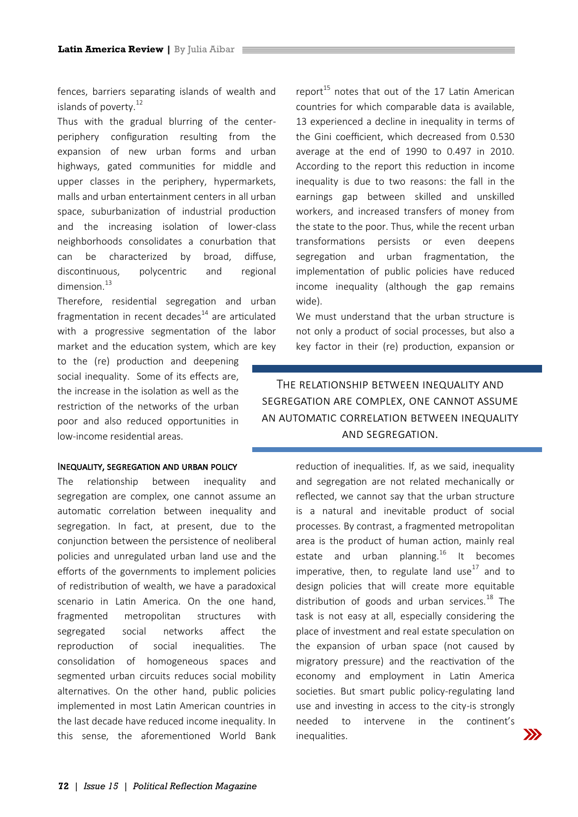fences, barriers separating islands of wealth and islands of poverty.<sup>12</sup>

Thus with the gradual blurring of the centerperiphery configuration resulting from the expansion of new urban forms and urban highways, gated communities for middle and upper classes in the periphery, hypermarkets, malls and urban entertainment centers in all urban space, suburbanization of industrial production and the increasing isolation of lower-class neighborhoods consolidates a conurbation that can be characterized by broad, diffuse, discontinuous, polycentric and regional dimension.<sup>13</sup>

Therefore, residential segregation and urban fragmentation in recent decades $^{14}$  are articulated with a progressive segmentation of the labor market and the education system, which are key

to the (re) production and deepening social inequality. Some of its effects are, the increase in the isolation as well as the restriction of the networks of the urban poor and also reduced opportunities in low-income residential areas.

Inequality, segregation and urban policy

The relationship between inequality and segregation are complex, one cannot assume an automatic correlation between inequality and segregation. In fact, at present, due to the conjunction between the persistence of neoliberal policies and unregulated urban land use and the efforts of the governments to implement policies of redistribution of wealth, we have a paradoxical scenario in Latin America. On the one hand, fragmented metropolitan structures with segregated social networks affect the reproduction of social inequalities. The consolidation of homogeneous spaces and segmented urban circuits reduces social mobility alternatives. On the other hand, public policies implemented in most Latin American countries in the last decade have reduced income inequality. In this sense, the aforementioned World Bank report $^{15}$  notes that out of the 17 Latin American countries for which comparable data is available, 13 experienced a decline in inequality in terms of the Gini coefficient, which decreased from 0.530 average at the end of 1990 to 0.497 in 2010. According to the report this reduction in income inequality is due to two reasons: the fall in the earnings gap between skilled and unskilled workers, and increased transfers of money from the state to the poor. Thus, while the recent urban transformations persists or even deepens segregation and urban fragmentation, the implementation of public policies have reduced income inequality (although the gap remains wide).

We must understand that the urban structure is not only a product of social processes, but also a key factor in their (re) production, expansion or

## The relationship between inequality and segregation are complex, one cannot assume an automatic correlation between inequality and segregation.

reduction of inequalities. If, as we said, inequality and segregation are not related mechanically or reflected, we cannot say that the urban structure is a natural and inevitable product of social processes. By contrast, a fragmented metropolitan area is the product of human action, mainly real estate and urban planning.<sup>16</sup> It becomes imperative, then, to regulate land use $^{17}$  and to design policies that will create more equitable distribution of goods and urban services.<sup>18</sup> The task is not easy at all, especially considering the place of investment and real estate speculation on the expansion of urban space (not caused by migratory pressure) and the reactivation of the economy and employment in Latin America societies. But smart public policy-regulating land use and investing in access to the city-is strongly needed to intervene in the continent's inequalities.

 $\gg$